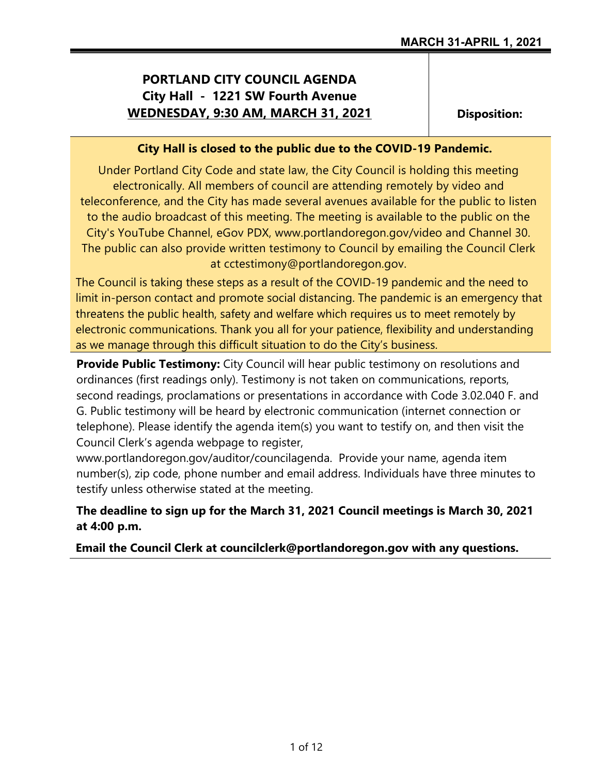### **PORTLAND CITY COUNCIL AGENDA City Hall - 1221 SW Fourth Avenue WEDNESDAY, 9:30 AM, MARCH 31, 2021**

**Disposition:**

### **City Hall is closed to the public due to the COVID-19 Pandemic.**

Under Portland City Code and state law, the City Council is holding this meeting electronically. All members of council are attending remotely by video and teleconference, and the City has made several avenues available for the public to listen to the audio broadcast of this meeting. The meeting is available to the public on the City's YouTube Channel, eGov PDX, www.portlandoregon.gov/video and Channel 30. The public can also provide written testimony to Council by emailing the Council Clerk at cctestimony@portlandoregon.gov.

The Council is taking these steps as a result of the COVID-19 pandemic and the need to limit in-person contact and promote social distancing. The pandemic is an emergency that threatens the public health, safety and welfare which requires us to meet remotely by electronic communications. Thank you all for your patience, flexibility and understanding as we manage through this difficult situation to do the City's business.

**Provide Public Testimony:** City Council will hear public testimony on resolutions and ordinances (first readings only). Testimony is not taken on communications, reports, second readings, proclamations or presentations in accordance with Code 3.02.040 F. and G. Public testimony will be heard by electronic communication (internet connection or telephone). Please identify the agenda item(s) you want to testify on, and then visit the Council Clerk's agenda webpage to register,

www.portlandoregon.gov/auditor/councilagenda. Provide your name, agenda item number(s), zip code, phone number and email address. Individuals have three minutes to testify unless otherwise stated at the meeting.

**The deadline to sign up for the March 31, 2021 Council meetings is March 30, 2021 at 4:00 p.m.**

**Email the Council Clerk at councilclerk@portlandoregon.gov with any questions.**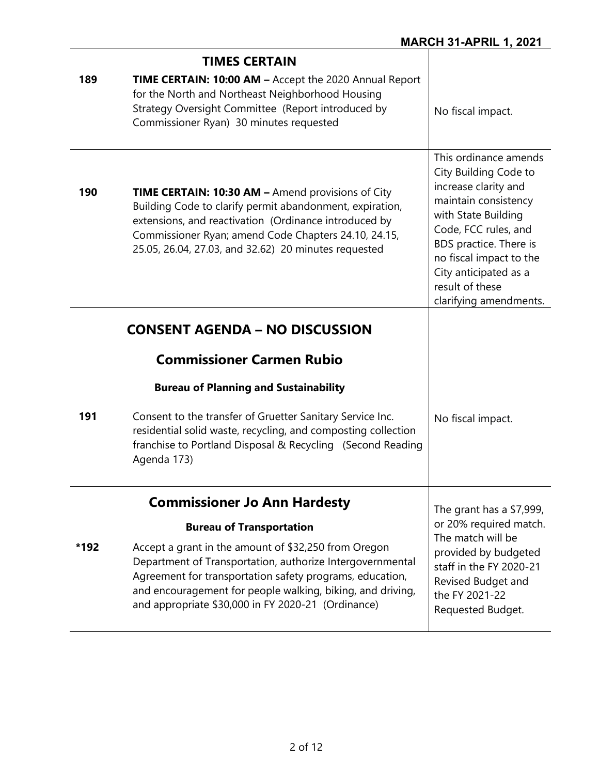|      | <b>TIMES CERTAIN</b>                                                                                                                                                                                                                                                                                                                 |                                                                                                                                                                                                                                                                          |
|------|--------------------------------------------------------------------------------------------------------------------------------------------------------------------------------------------------------------------------------------------------------------------------------------------------------------------------------------|--------------------------------------------------------------------------------------------------------------------------------------------------------------------------------------------------------------------------------------------------------------------------|
| 189  | TIME CERTAIN: 10:00 AM - Accept the 2020 Annual Report<br>for the North and Northeast Neighborhood Housing<br>Strategy Oversight Committee (Report introduced by<br>Commissioner Ryan) 30 minutes requested                                                                                                                          | No fiscal impact.                                                                                                                                                                                                                                                        |
| 190  | <b>TIME CERTAIN: 10:30 AM - Amend provisions of City</b><br>Building Code to clarify permit abandonment, expiration,<br>extensions, and reactivation (Ordinance introduced by<br>Commissioner Ryan; amend Code Chapters 24.10, 24.15,<br>25.05, 26.04, 27.03, and 32.62) 20 minutes requested                                        | This ordinance amends<br>City Building Code to<br>increase clarity and<br>maintain consistency<br>with State Building<br>Code, FCC rules, and<br>BDS practice. There is<br>no fiscal impact to the<br>City anticipated as a<br>result of these<br>clarifying amendments. |
|      | <b>CONSENT AGENDA – NO DISCUSSION</b>                                                                                                                                                                                                                                                                                                |                                                                                                                                                                                                                                                                          |
|      | <b>Commissioner Carmen Rubio</b>                                                                                                                                                                                                                                                                                                     |                                                                                                                                                                                                                                                                          |
|      | <b>Bureau of Planning and Sustainability</b>                                                                                                                                                                                                                                                                                         |                                                                                                                                                                                                                                                                          |
| 191  | Consent to the transfer of Gruetter Sanitary Service Inc.<br>residential solid waste, recycling, and composting collection<br>franchise to Portland Disposal & Recycling (Second Reading<br>Agenda 173)                                                                                                                              | No fiscal impact.                                                                                                                                                                                                                                                        |
|      | <b>Commissioner Jo Ann Hardesty</b>                                                                                                                                                                                                                                                                                                  | The grant has a \$7,999,<br>or 20% required match.                                                                                                                                                                                                                       |
| *192 | <b>Bureau of Transportation</b><br>Accept a grant in the amount of \$32,250 from Oregon<br>Department of Transportation, authorize Intergovernmental<br>Agreement for transportation safety programs, education,<br>and encouragement for people walking, biking, and driving,<br>and appropriate \$30,000 in FY 2020-21 (Ordinance) | The match will be<br>provided by budgeted<br>staff in the FY 2020-21<br>Revised Budget and<br>the FY 2021-22<br>Requested Budget.                                                                                                                                        |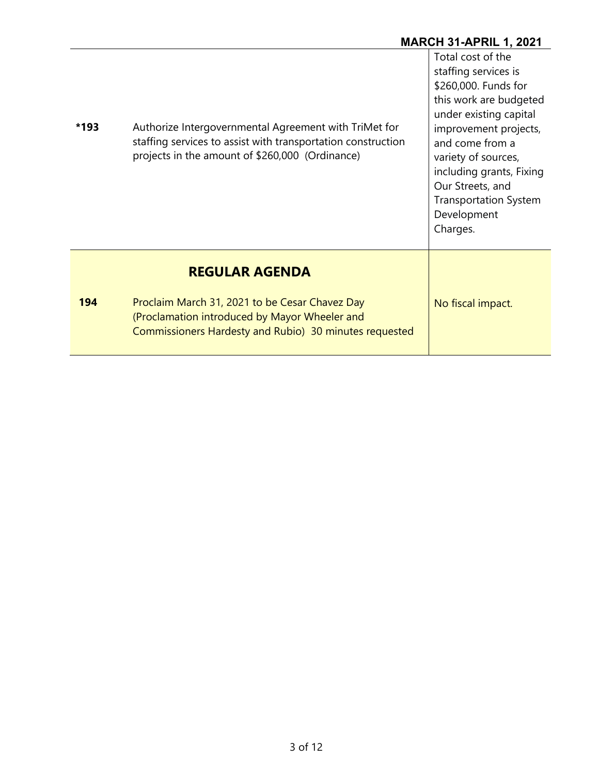# **MARCH 31-APRIL 1, 2021**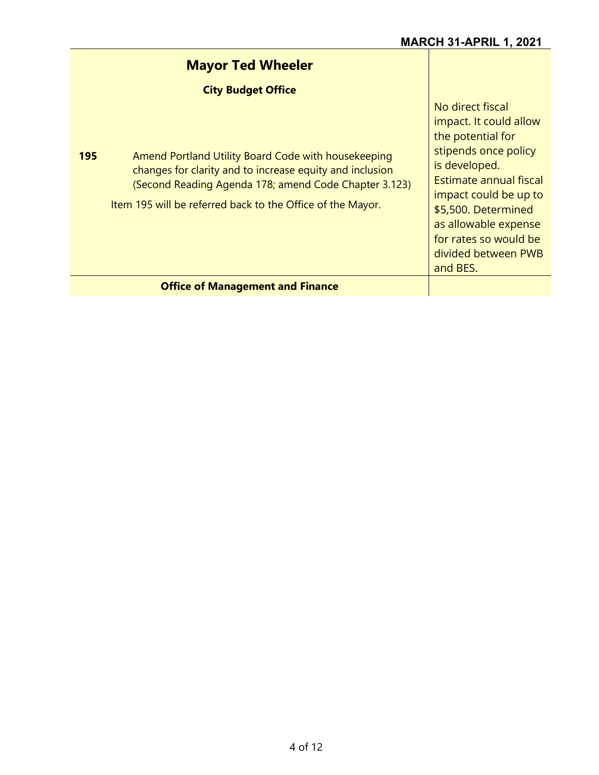| <b>Mayor Ted Wheeler</b>                                                                                                                                                                                                                                                   |                                                                                                                                                                                                                                            |
|----------------------------------------------------------------------------------------------------------------------------------------------------------------------------------------------------------------------------------------------------------------------------|--------------------------------------------------------------------------------------------------------------------------------------------------------------------------------------------------------------------------------------------|
| <b>City Budget Office</b><br>195<br>Amend Portland Utility Board Code with housekeeping<br>changes for clarity and to increase equity and inclusion<br>(Second Reading Agenda 178; amend Code Chapter 3.123)<br>Item 195 will be referred back to the Office of the Mayor. | No direct fiscal<br>impact. It could allow<br>the potential for<br>stipends once policy<br>is developed.<br><b>Estimate annual fiscal</b><br>impact could be up to<br>\$5,500. Determined<br>as allowable expense<br>for rates so would be |
| <b>Office of Management and Finance</b>                                                                                                                                                                                                                                    | divided between PWB<br>and BES.                                                                                                                                                                                                            |
|                                                                                                                                                                                                                                                                            |                                                                                                                                                                                                                                            |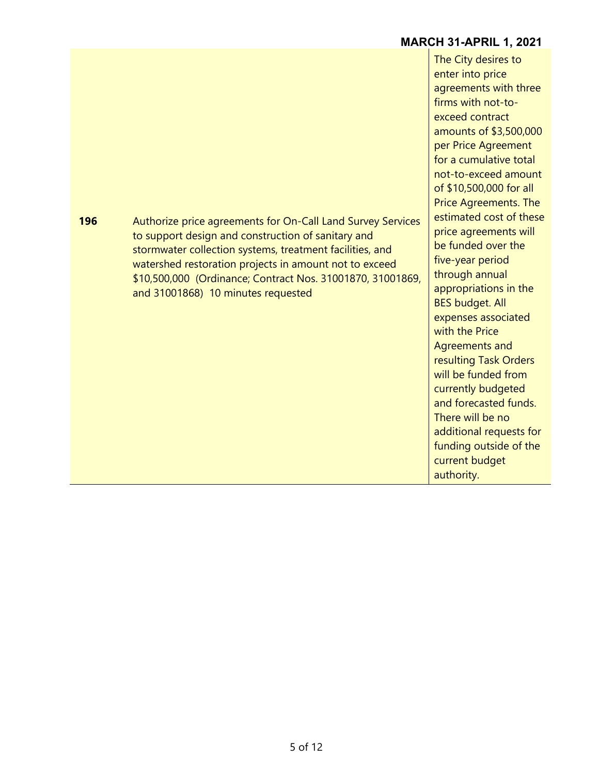|     |                                                                                                                                                                                                                                                                                                                                             | <b>MARCH 31-APRIL 1, 2021</b>                                                                                                                                                                                                                                                                                                                                                                                                              |
|-----|---------------------------------------------------------------------------------------------------------------------------------------------------------------------------------------------------------------------------------------------------------------------------------------------------------------------------------------------|--------------------------------------------------------------------------------------------------------------------------------------------------------------------------------------------------------------------------------------------------------------------------------------------------------------------------------------------------------------------------------------------------------------------------------------------|
| 196 | Authorize price agreements for On-Call Land Survey Services<br>to support design and construction of sanitary and<br>stormwater collection systems, treatment facilities, and<br>watershed restoration projects in amount not to exceed<br>\$10,500,000 (Ordinance; Contract Nos. 31001870, 31001869,<br>and 31001868) 10 minutes requested | The City desires to<br>enter into price<br>agreements with three<br>firms with not-to-<br>exceed contract<br>amounts of \$3,500,000<br>per Price Agreement<br>for a cumulative total<br>not-to-exceed amount<br>of \$10,500,000 for all<br><b>Price Agreements. The</b><br>estimated cost of these<br>price agreements will<br>be funded over the<br>five-year period<br>through annual<br>appropriations in the<br><b>BES budget. All</b> |
|     |                                                                                                                                                                                                                                                                                                                                             | expenses associated<br>with the Price<br><b>Agreements and</b><br>resulting Task Orders<br>will be funded from<br>currently budgeted<br>and forecasted funds.<br>There will be no<br>additional requests for<br>funding outside of the<br>current budget<br>authority.                                                                                                                                                                     |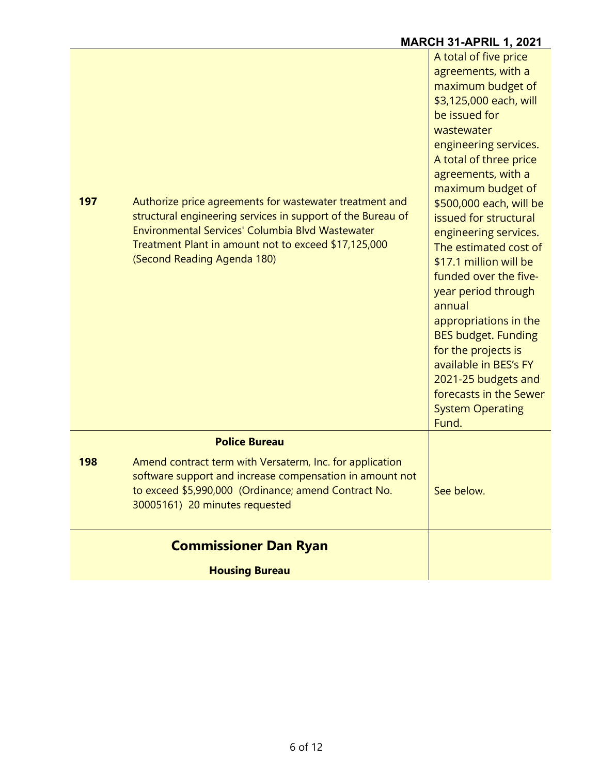# **MARCH 31-APRIL 1, 2021**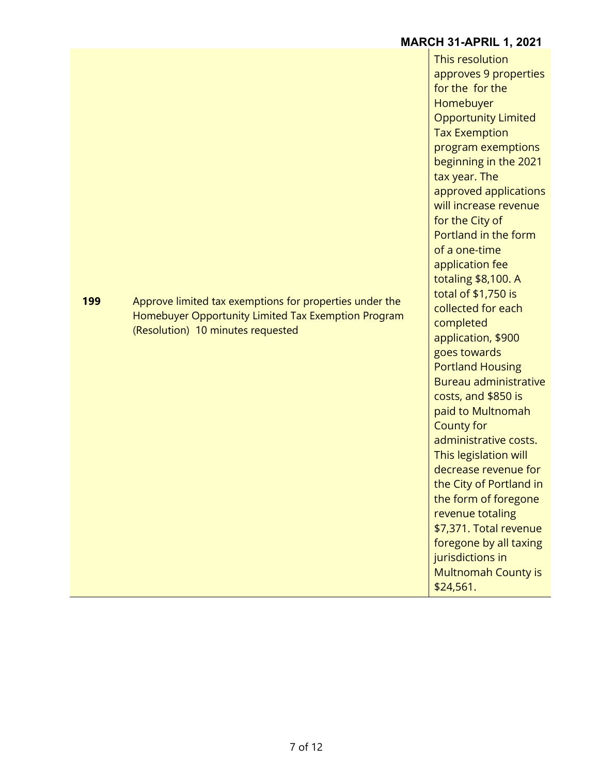#### **MARCH 31-APRIL 1, 2021**

This resolution approves 9 properties for the for the Homebuyer Opportunity Limited Tax Exemption program exemptions beginning in the 2021 tax year. The approved applications will increase revenue for the City of Portland in the form of a one-time application fee totaling \$8,100. A total of \$1,750 is collected for each completed application, \$900 goes towards Portland Housing Bureau administrative costs, and \$850 is paid to Multnomah County for administrative costs. This legislation will decrease revenue for the City of Portland in the form of foregone revenue totaling \$7,371. Total revenue foregone by all taxing jurisdictions in Multnomah County is \$24,561.

**199** Approve limited tax exemptions for properties under the Homebuyer Opportunity Limited Tax Exemption Program (Resolution) 10 minutes requested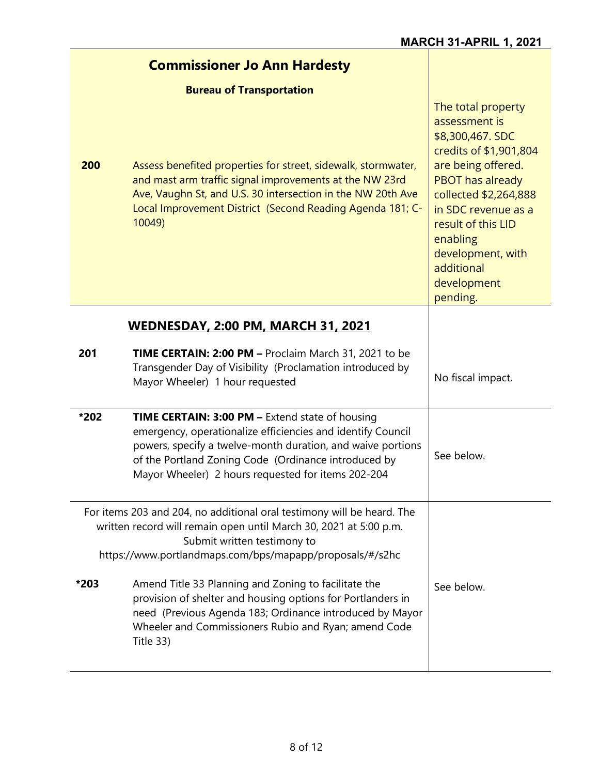|                                                                                                                                                                                                                                        | <b>Commissioner Jo Ann Hardesty</b>                                                                                                                                                                                                                                                                |                                                                                                                                                                                                                                                                                    |
|----------------------------------------------------------------------------------------------------------------------------------------------------------------------------------------------------------------------------------------|----------------------------------------------------------------------------------------------------------------------------------------------------------------------------------------------------------------------------------------------------------------------------------------------------|------------------------------------------------------------------------------------------------------------------------------------------------------------------------------------------------------------------------------------------------------------------------------------|
|                                                                                                                                                                                                                                        | <b>Bureau of Transportation</b>                                                                                                                                                                                                                                                                    |                                                                                                                                                                                                                                                                                    |
| 200                                                                                                                                                                                                                                    | Assess benefited properties for street, sidewalk, stormwater,<br>and mast arm traffic signal improvements at the NW 23rd<br>Ave, Vaughn St, and U.S. 30 intersection in the NW 20th Ave<br>Local Improvement District (Second Reading Agenda 181; C-<br>10049)                                     | The total property<br>assessment is<br>\$8,300,467. SDC<br>credits of \$1,901,804<br>are being offered.<br><b>PBOT has already</b><br>collected \$2,264,888<br>in SDC revenue as a<br>result of this LID<br>enabling<br>development, with<br>additional<br>development<br>pending. |
|                                                                                                                                                                                                                                        | <b>WEDNESDAY, 2:00 PM, MARCH 31, 2021</b>                                                                                                                                                                                                                                                          |                                                                                                                                                                                                                                                                                    |
|                                                                                                                                                                                                                                        |                                                                                                                                                                                                                                                                                                    |                                                                                                                                                                                                                                                                                    |
| 201                                                                                                                                                                                                                                    | TIME CERTAIN: 2:00 PM - Proclaim March 31, 2021 to be<br>Transgender Day of Visibility (Proclamation introduced by<br>Mayor Wheeler) 1 hour requested                                                                                                                                              | No fiscal impact.                                                                                                                                                                                                                                                                  |
| *202                                                                                                                                                                                                                                   | <b>TIME CERTAIN: 3:00 PM - Extend state of housing</b><br>emergency, operationalize efficiencies and identify Council<br>powers, specify a twelve-month duration, and waive portions<br>of the Portland Zoning Code (Ordinance introduced by<br>Mayor Wheeler) 2 hours requested for items 202-204 | See below.                                                                                                                                                                                                                                                                         |
| For items 203 and 204, no additional oral testimony will be heard. The<br>written record will remain open until March 30, 2021 at 5:00 p.m.<br>Submit written testimony to<br>https://www.portlandmaps.com/bps/mapapp/proposals/#/s2hc |                                                                                                                                                                                                                                                                                                    |                                                                                                                                                                                                                                                                                    |
| *203                                                                                                                                                                                                                                   | Amend Title 33 Planning and Zoning to facilitate the<br>provision of shelter and housing options for Portlanders in<br>need (Previous Agenda 183; Ordinance introduced by Mayor<br>Wheeler and Commissioners Rubio and Ryan; amend Code<br>Title 33)                                               | See below.                                                                                                                                                                                                                                                                         |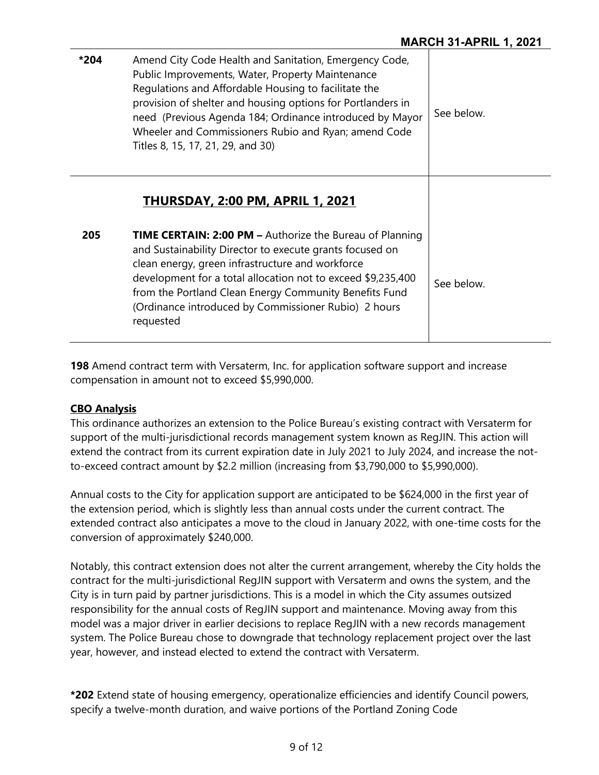| *204 | Amend City Code Health and Sanitation, Emergency Code,<br>Public Improvements, Water, Property Maintenance<br>Regulations and Affordable Housing to facilitate the<br>provision of shelter and housing options for Portlanders in<br>need (Previous Agenda 184; Ordinance introduced by Mayor<br>Wheeler and Commissioners Rubio and Ryan; amend Code<br>Titles 8, 15, 17, 21, 29, and 30) | See below. |
|------|--------------------------------------------------------------------------------------------------------------------------------------------------------------------------------------------------------------------------------------------------------------------------------------------------------------------------------------------------------------------------------------------|------------|
|      | <b>THURSDAY, 2:00 PM, APRIL 1, 2021</b>                                                                                                                                                                                                                                                                                                                                                    |            |
| 205  | <b>TIME CERTAIN: 2:00 PM - Authorize the Bureau of Planning</b><br>and Sustainability Director to execute grants focused on<br>clean energy, green infrastructure and workforce<br>development for a total allocation not to exceed \$9,235,400<br>from the Portland Clean Energy Community Benefits Fund<br>(Ordinance introduced by Commissioner Rubio) 2 hours<br>requested             | See below. |

**198** Amend contract term with Versaterm, Inc. for application software support and increase compensation in amount not to exceed \$5,990,000.

#### **CBO Analysis**

This ordinance authorizes an extension to the Police Bureau's existing contract with Versaterm for support of the multi-jurisdictional records management system known as RegJIN. This action will extend the contract from its current expiration date in July 2021 to July 2024, and increase the notto-exceed contract amount by \$2.2 million (increasing from \$3,790,000 to \$5,990,000).

Annual costs to the City for application support are anticipated to be \$624,000 in the first year of the extension period, which is slightly less than annual costs under the current contract. The extended contract also anticipates a move to the cloud in January 2022, with one-time costs for the conversion of approximately \$240,000.

Notably, this contract extension does not alter the current arrangement, whereby the City holds the contract for the multi-jurisdictional RegJIN support with Versaterm and owns the system, and the City is in turn paid by partner jurisdictions. This is a model in which the City assumes outsized responsibility for the annual costs of RegJIN support and maintenance. Moving away from this model was a major driver in earlier decisions to replace RegJIN with a new records management system. The Police Bureau chose to downgrade that technology replacement project over the last year, however, and instead elected to extend the contract with Versaterm.

**\*202** Extend state of housing emergency, operationalize efficiencies and identify Council powers, specify a twelve-month duration, and waive portions of the Portland Zoning Code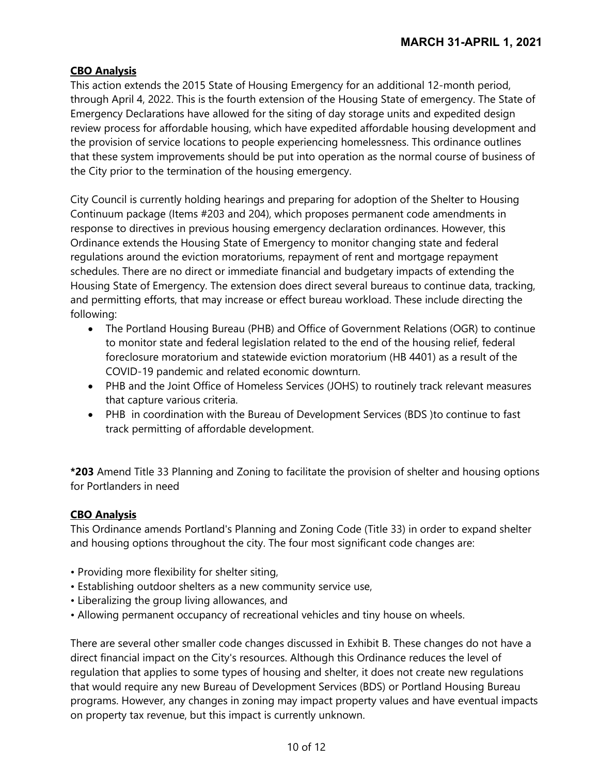#### **CBO Analysis**

This action extends the 2015 State of Housing Emergency for an additional 12-month period, through April 4, 2022. This is the fourth extension of the Housing State of emergency. The State of Emergency Declarations have allowed for the siting of day storage units and expedited design review process for affordable housing, which have expedited affordable housing development and the provision of service locations to people experiencing homelessness. This ordinance outlines that these system improvements should be put into operation as the normal course of business of the City prior to the termination of the housing emergency.

City Council is currently holding hearings and preparing for adoption of the Shelter to Housing Continuum package (Items #203 and 204), which proposes permanent code amendments in response to directives in previous housing emergency declaration ordinances. However, this Ordinance extends the Housing State of Emergency to monitor changing state and federal regulations around the eviction moratoriums, repayment of rent and mortgage repayment schedules. There are no direct or immediate financial and budgetary impacts of extending the Housing State of Emergency. The extension does direct several bureaus to continue data, tracking, and permitting efforts, that may increase or effect bureau workload. These include directing the following:

- The Portland Housing Bureau (PHB) and Office of Government Relations (OGR) to continue to monitor state and federal legislation related to the end of the housing relief, federal foreclosure moratorium and statewide eviction moratorium (HB 4401) as a result of the COVID-19 pandemic and related economic downturn.
- PHB and the Joint Office of Homeless Services (JOHS) to routinely track relevant measures that capture various criteria.
- PHB in coordination with the Bureau of Development Services (BDS )to continue to fast track permitting of affordable development.

**\*203** Amend Title 33 Planning and Zoning to facilitate the provision of shelter and housing options for Portlanders in need

#### **CBO Analysis**

This Ordinance amends Portland's Planning and Zoning Code (Title 33) in order to expand shelter and housing options throughout the city. The four most significant code changes are:

- Providing more flexibility for shelter siting,
- Establishing outdoor shelters as a new community service use,
- Liberalizing the group living allowances, and
- Allowing permanent occupancy of recreational vehicles and tiny house on wheels.

There are several other smaller code changes discussed in Exhibit B. These changes do not have a direct financial impact on the City's resources. Although this Ordinance reduces the level of regulation that applies to some types of housing and shelter, it does not create new regulations that would require any new Bureau of Development Services (BDS) or Portland Housing Bureau programs. However, any changes in zoning may impact property values and have eventual impacts on property tax revenue, but this impact is currently unknown.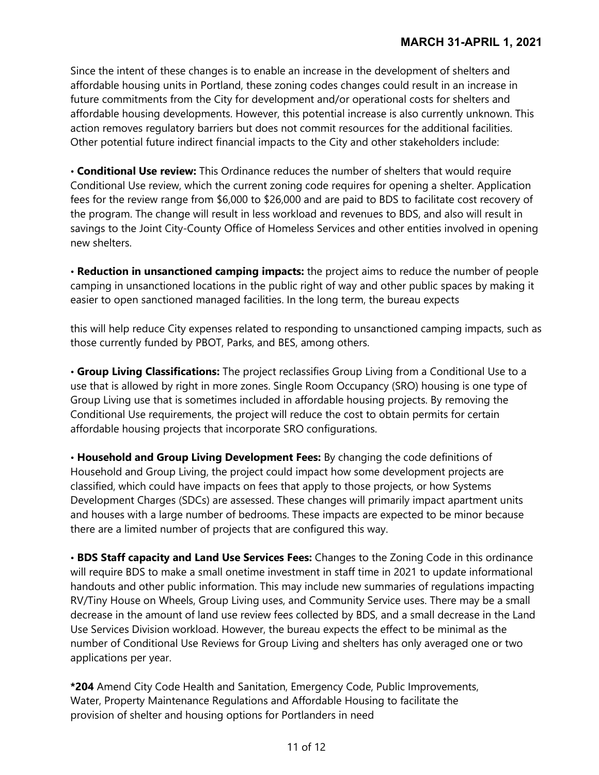Since the intent of these changes is to enable an increase in the development of shelters and affordable housing units in Portland, these zoning codes changes could result in an increase in future commitments from the City for development and/or operational costs for shelters and affordable housing developments. However, this potential increase is also currently unknown. This action removes regulatory barriers but does not commit resources for the additional facilities. Other potential future indirect financial impacts to the City and other stakeholders include:

• **Conditional Use review:** This Ordinance reduces the number of shelters that would require Conditional Use review, which the current zoning code requires for opening a shelter. Application fees for the review range from \$6,000 to \$26,000 and are paid to BDS to facilitate cost recovery of the program. The change will result in less workload and revenues to BDS, and also will result in savings to the Joint City-County Office of Homeless Services and other entities involved in opening new shelters.

• **Reduction in unsanctioned camping impacts:** the project aims to reduce the number of people camping in unsanctioned locations in the public right of way and other public spaces by making it easier to open sanctioned managed facilities. In the long term, the bureau expects

this will help reduce City expenses related to responding to unsanctioned camping impacts, such as those currently funded by PBOT, Parks, and BES, among others.

• **Group Living Classifications:** The project reclassifies Group Living from a Conditional Use to a use that is allowed by right in more zones. Single Room Occupancy (SRO) housing is one type of Group Living use that is sometimes included in affordable housing projects. By removing the Conditional Use requirements, the project will reduce the cost to obtain permits for certain affordable housing projects that incorporate SRO configurations.

• **Household and Group Living Development Fees:** By changing the code definitions of Household and Group Living, the project could impact how some development projects are classified, which could have impacts on fees that apply to those projects, or how Systems Development Charges (SDCs) are assessed. These changes will primarily impact apartment units and houses with a large number of bedrooms. These impacts are expected to be minor because there are a limited number of projects that are configured this way.

• **BDS Staff capacity and Land Use Services Fees:** Changes to the Zoning Code in this ordinance will require BDS to make a small onetime investment in staff time in 2021 to update informational handouts and other public information. This may include new summaries of regulations impacting RV/Tiny House on Wheels, Group Living uses, and Community Service uses. There may be a small decrease in the amount of land use review fees collected by BDS, and a small decrease in the Land Use Services Division workload. However, the bureau expects the effect to be minimal as the number of Conditional Use Reviews for Group Living and shelters has only averaged one or two applications per year.

**\*204** Amend City Code Health and Sanitation, Emergency Code, Public Improvements, Water, Property Maintenance Regulations and Affordable Housing to facilitate the provision of shelter and housing options for Portlanders in need